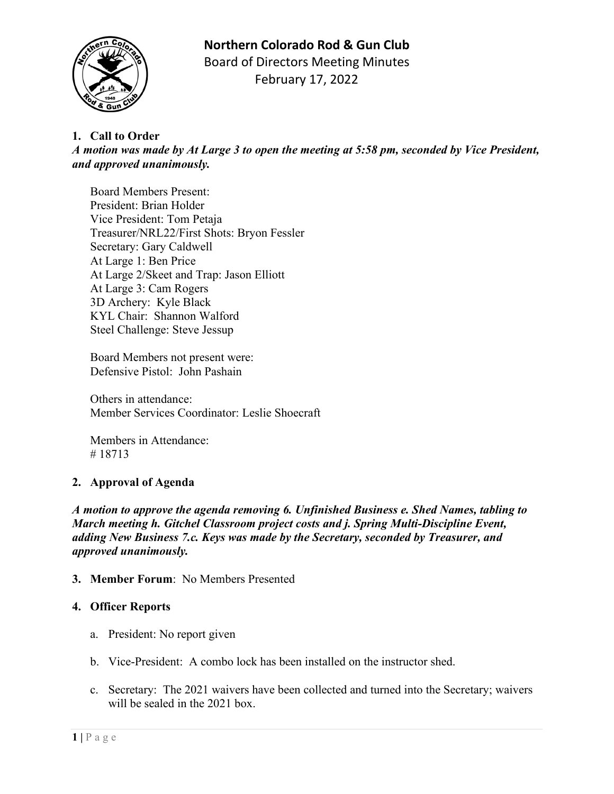# **Northern Colorado Rod & Gun Club**



Board of Directors Meeting Minutes February 17, 2022

## **1. Call to Order**

*A motion was made by At Large 3 to open the meeting at 5:58 pm, seconded by Vice President, and approved unanimously.*

Board Members Present: President: Brian Holder Vice President: Tom Petaja Treasurer/NRL22/First Shots: Bryon Fessler Secretary: Gary Caldwell At Large 1: Ben Price At Large 2/Skeet and Trap: Jason Elliott At Large 3: Cam Rogers 3D Archery: Kyle Black KYL Chair: Shannon Walford Steel Challenge: Steve Jessup

Board Members not present were: Defensive Pistol: John Pashain

Others in attendance: Member Services Coordinator: Leslie Shoecraft

Members in Attendance: # 18713

## **2. Approval of Agenda**

*A motion to approve the agenda removing 6. Unfinished Business e. Shed Names, tabling to March meeting h. Gitchel Classroom project costs and j. Spring Multi-Discipline Event, adding New Business 7.c. Keys was made by the Secretary, seconded by Treasurer, and approved unanimously.*

#### **3. Member Forum**: No Members Presented

#### **4. Officer Reports**

- a. President: No report given
- b. Vice-President: A combo lock has been installed on the instructor shed.
- c. Secretary: The 2021 waivers have been collected and turned into the Secretary; waivers will be sealed in the 2021 box.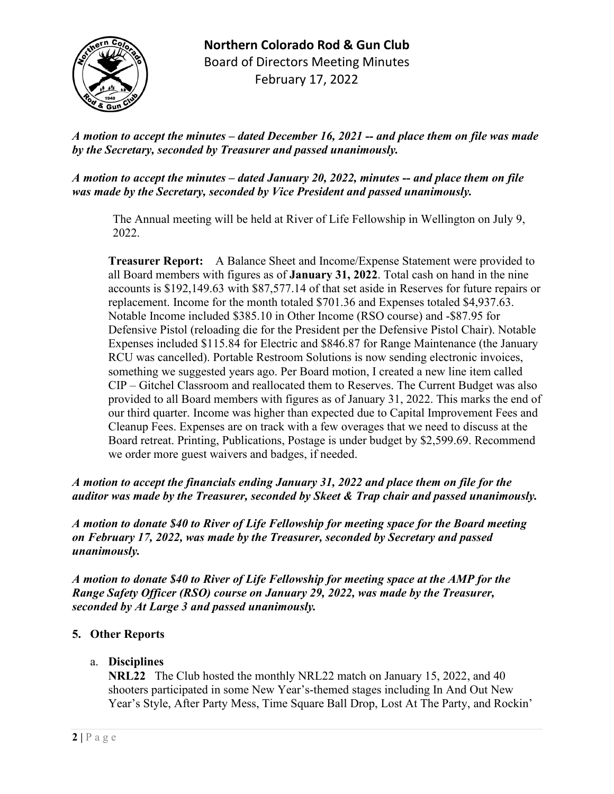

**Northern Colorado Rod & Gun Club** Board of Directors Meeting Minutes February 17, 2022

*A motion to accept the minutes – dated December 16, 2021 -- and place them on file was made by the Secretary, seconded by Treasurer and passed unanimously.* 

*A motion to accept the minutes – dated January 20, 2022, minutes -- and place them on file was made by the Secretary, seconded by Vice President and passed unanimously.* 

The Annual meeting will be held at River of Life Fellowship in Wellington on July 9, 2022.

**Treasurer Report:** A Balance Sheet and Income/Expense Statement were provided to all Board members with figures as of **January 31, 2022**. Total cash on hand in the nine accounts is \$192,149.63 with \$87,577.14 of that set aside in Reserves for future repairs or replacement. Income for the month totaled \$701.36 and Expenses totaled \$4,937.63. Notable Income included \$385.10 in Other Income (RSO course) and -\$87.95 for Defensive Pistol (reloading die for the President per the Defensive Pistol Chair). Notable Expenses included \$115.84 for Electric and \$846.87 for Range Maintenance (the January RCU was cancelled). Portable Restroom Solutions is now sending electronic invoices, something we suggested years ago. Per Board motion, I created a new line item called CIP – Gitchel Classroom and reallocated them to Reserves. The Current Budget was also provided to all Board members with figures as of January 31, 2022. This marks the end of our third quarter. Income was higher than expected due to Capital Improvement Fees and Cleanup Fees. Expenses are on track with a few overages that we need to discuss at the Board retreat. Printing, Publications, Postage is under budget by \$2,599.69. Recommend we order more guest waivers and badges, if needed.

*A motion to accept the financials ending January 31, 2022 and place them on file for the auditor was made by the Treasurer, seconded by Skeet & Trap chair and passed unanimously.*

*A motion to donate \$40 to River of Life Fellowship for meeting space for the Board meeting on February 17, 2022, was made by the Treasurer, seconded by Secretary and passed unanimously.*

*A motion to donate \$40 to River of Life Fellowship for meeting space at the AMP for the Range Safety Officer (RSO) course on January 29, 2022, was made by the Treasurer, seconded by At Large 3 and passed unanimously.*

#### **5. Other Reports**

a. **Disciplines**

**NRL22** The Club hosted the monthly NRL22 match on January 15, 2022, and 40 shooters participated in some New Year's-themed stages including In And Out New Year's Style, After Party Mess, Time Square Ball Drop, Lost At The Party, and Rockin'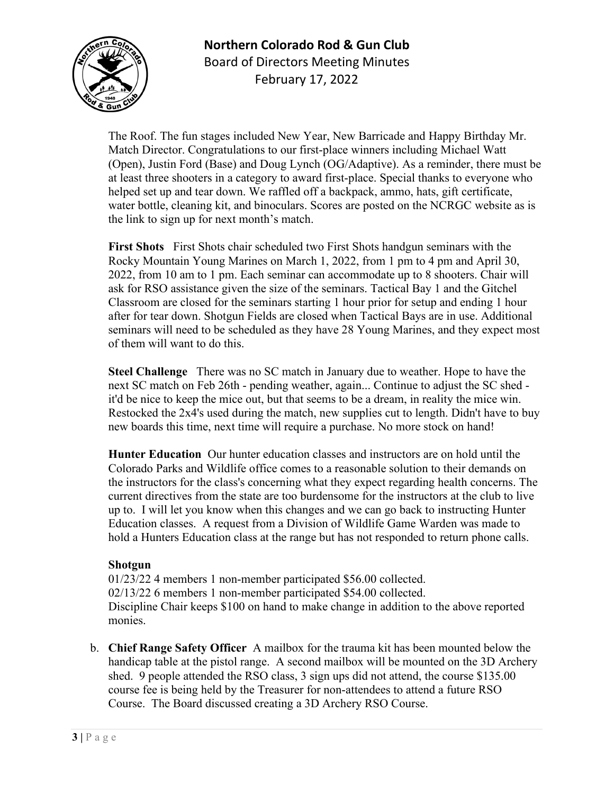

# **Northern Colorado Rod & Gun Club** Board of Directors Meeting Minutes February 17, 2022

The Roof. The fun stages included New Year, New Barricade and Happy Birthday Mr. Match Director. Congratulations to our first-place winners including Michael Watt (Open), Justin Ford (Base) and Doug Lynch (OG/Adaptive). As a reminder, there must be at least three shooters in a category to award first-place. Special thanks to everyone who helped set up and tear down. We raffled off a backpack, ammo, hats, gift certificate, water bottle, cleaning kit, and binoculars. Scores are posted on the NCRGC website as is the link to sign up for next month's match.

**First Shots** First Shots chair scheduled two First Shots handgun seminars with the Rocky Mountain Young Marines on March 1, 2022, from 1 pm to 4 pm and April 30, 2022, from 10 am to 1 pm. Each seminar can accommodate up to 8 shooters. Chair will ask for RSO assistance given the size of the seminars. Tactical Bay 1 and the Gitchel Classroom are closed for the seminars starting 1 hour prior for setup and ending 1 hour after for tear down. Shotgun Fields are closed when Tactical Bays are in use. Additional seminars will need to be scheduled as they have 28 Young Marines, and they expect most of them will want to do this.

**Steel Challenge** There was no SC match in January due to weather. Hope to have the next SC match on Feb 26th - pending weather, again... Continue to adjust the SC shed it'd be nice to keep the mice out, but that seems to be a dream, in reality the mice win. Restocked the 2x4's used during the match, new supplies cut to length. Didn't have to buy new boards this time, next time will require a purchase. No more stock on hand!

**Hunter Education** Our hunter education classes and instructors are on hold until the Colorado Parks and Wildlife office comes to a reasonable solution to their demands on the instructors for the class's concerning what they expect regarding health concerns. The current directives from the state are too burdensome for the instructors at the club to live up to. I will let you know when this changes and we can go back to instructing Hunter Education classes. A request from a Division of Wildlife Game Warden was made to hold a Hunters Education class at the range but has not responded to return phone calls.

#### **Shotgun**

01/23/22 4 members 1 non-member participated \$56.00 collected. 02/13/22 6 members 1 non-member participated \$54.00 collected. Discipline Chair keeps \$100 on hand to make change in addition to the above reported monies.

b. **Chief Range Safety Officer** A mailbox for the trauma kit has been mounted below the handicap table at the pistol range. A second mailbox will be mounted on the 3D Archery shed. 9 people attended the RSO class, 3 sign ups did not attend, the course \$135.00 course fee is being held by the Treasurer for non-attendees to attend a future RSO Course. The Board discussed creating a 3D Archery RSO Course.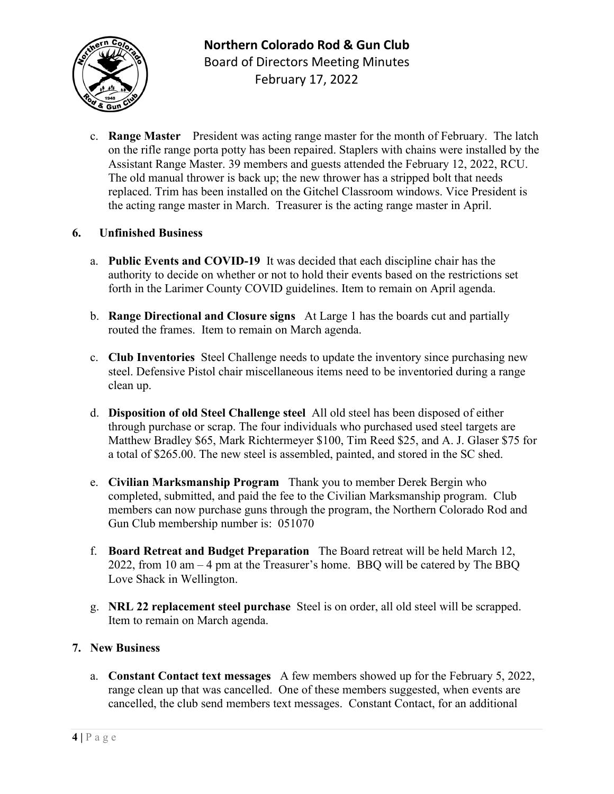

c. **Range Master** President was acting range master for the month of February. The latch on the rifle range porta potty has been repaired. Staplers with chains were installed by the Assistant Range Master. 39 members and guests attended the February 12, 2022, RCU. The old manual thrower is back up; the new thrower has a stripped bolt that needs replaced. Trim has been installed on the Gitchel Classroom windows. Vice President is the acting range master in March. Treasurer is the acting range master in April.

#### **6. Unfinished Business**

- a. **Public Events and COVID-19** It was decided that each discipline chair has the authority to decide on whether or not to hold their events based on the restrictions set forth in the Larimer County COVID guidelines. Item to remain on April agenda.
- b. **Range Directional and Closure signs** At Large 1 has the boards cut and partially routed the frames. Item to remain on March agenda.
- c. **Club Inventories** Steel Challenge needs to update the inventory since purchasing new steel. Defensive Pistol chair miscellaneous items need to be inventoried during a range clean up.
- d. **Disposition of old Steel Challenge steel** All old steel has been disposed of either through purchase or scrap. The four individuals who purchased used steel targets are Matthew Bradley \$65, Mark Richtermeyer \$100, Tim Reed \$25, and A. J. Glaser \$75 for a total of \$265.00. The new steel is assembled, painted, and stored in the SC shed.
- e. **Civilian Marksmanship Program** Thank you to member Derek Bergin who completed, submitted, and paid the fee to the Civilian Marksmanship program. Club members can now purchase guns through the program, the Northern Colorado Rod and Gun Club membership number is: 051070
- f. **Board Retreat and Budget Preparation** The Board retreat will be held March 12, 2022, from 10 am – 4 pm at the Treasurer's home. BBQ will be catered by The BBQ Love Shack in Wellington.
- g. **NRL 22 replacement steel purchase** Steel is on order, all old steel will be scrapped. Item to remain on March agenda.

#### **7. New Business**

a. **Constant Contact text messages** A few members showed up for the February 5, 2022, range clean up that was cancelled. One of these members suggested, when events are cancelled, the club send members text messages. Constant Contact, for an additional